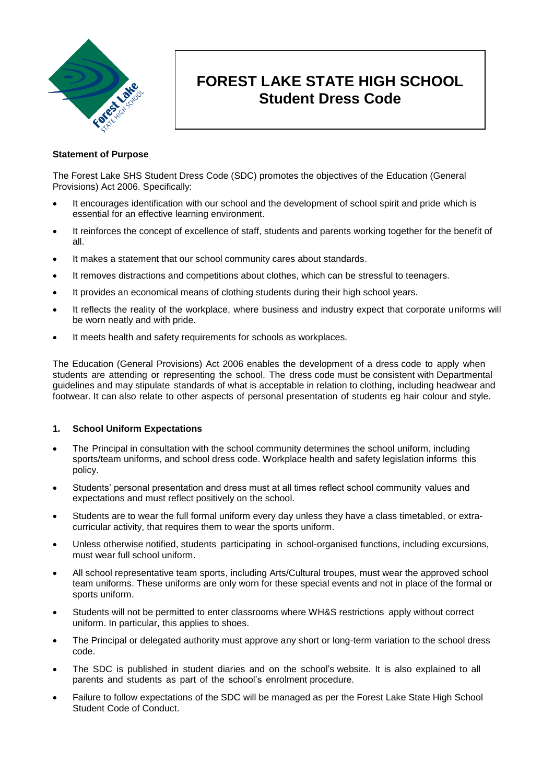

# **FOREST LAKE STATE HIGH SCHOOL Student Dress Code**

## **Statement of Purpose**

The Forest Lake SHS Student Dress Code (SDC) promotes the objectives of the Education (General Provisions) Act 2006. Specifically:

- It encourages identification with our school and the development of school spirit and pride which is essential for an effective learning environment.
- It reinforces the concept of excellence of staff, students and parents working together for the benefit of all.
- It makes a statement that our school community cares about standards.
- It removes distractions and competitions about clothes, which can be stressful to teenagers.
- It provides an economical means of clothing students during their high school years.
- It reflects the reality of the workplace, where business and industry expect that corporate uniforms will be worn neatly and with pride.
- It meets health and safety requirements for schools as workplaces.

The Education (General Provisions) Act 2006 enables the development of a dress code to apply when students are attending or representing the school. The dress code must be consistent with Departmental guidelines and may stipulate standards of what is acceptable in relation to clothing, including headwear and footwear. It can also relate to other aspects of personal presentation of students eg hair colour and style.

## **1. School Uniform Expectations**

- The Principal in consultation with the school community determines the school uniform, including sports/team uniforms, and school dress code. Workplace health and safety legislation informs this policy.
- Students' personal presentation and dress must at all times reflect school community values and expectations and must reflect positively on the school.
- Students are to wear the full formal uniform every day unless they have a class timetabled, or extracurricular activity, that requires them to wear the sports uniform.
- Unless otherwise notified, students participating in school-organised functions, including excursions, must wear full school uniform.
- All school representative team sports, including Arts/Cultural troupes, must wear the approved school team uniforms. These uniforms are only worn for these special events and not in place of the formal or sports uniform.
- Students will not be permitted to enter classrooms where WH&S restrictions apply without correct uniform. In particular, this applies to shoes.
- The Principal or delegated authority must approve any short or long-term variation to the school dress code.
- The SDC is published in student diaries and on the school's website. It is also explained to all parents and students as part of the school's enrolment procedure.
- Failure to follow expectations of the SDC will be managed as per the Forest Lake State High School Student Code of Conduct.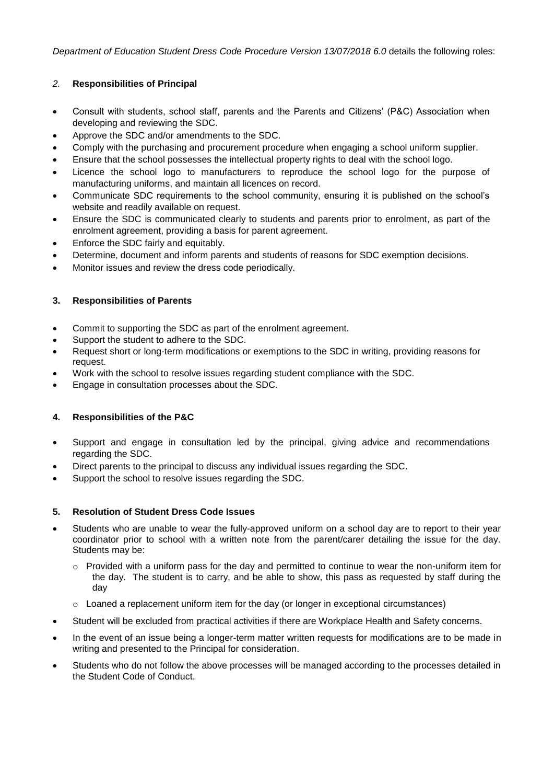*Department of Education Student Dress Code Procedure Version 13/07/2018 6.0 details the following roles:* 

## *2.* **Responsibilities of Principal**

- Consult with students, school staff, parents and the Parents and Citizens' (P&C) Association when developing and reviewing the SDC.
- Approve the SDC and/or amendments to the SDC.
- Comply with the [purchasing and procurement](http://ppr.det.qld.gov.au/corp/finance/procurement/Pages/Purchasing-and-Procurement.aspx) procedure when engaging a school uniform supplier.
- Ensure that the school possesses the intellectual property rights to deal with the school logo.
- Licence the school logo to manufacturers to reproduce the school logo for the purpose of manufacturing uniforms, and maintain all licences on record.
- Communicate SDC requirements to the school community, ensuring it is published on the school's website and readily available on request.
- Ensure the SDC is communicated clearly to students and parents prior to enrolment, as part of the [enrolment agreement,](http://ppr.det.qld.gov.au/education/management/Procedure%20Attachments/Enrolment%20in%20State%20Primary,%20Secondary%20and%20Special%20Schools/enrol%20Agreement.doc) providing a basis for parent agreement.
- Enforce the SDC fairly and equitably.
- Determine, document and inform parents and students of reasons for SDC exemption decisions.
- Monitor issues and review the dress code periodically.

## **3. Responsibilities of Parents**

- Commit to supporting the SDC as part of the enrolment agreement.
- Support the student to adhere to the SDC.
- Request short or long-term modifications or exemptions to the SDC in writing, providing reasons for request.
- Work with the school to resolve issues regarding student compliance with the SDC.
- Engage in consultation processes about the SDC.

## **4. Responsibilities of the P&C**

- Support and engage in consultation led by the principal, giving advice and recommendations regarding the SDC.
- Direct parents to the principal to discuss any individual issues regarding the SDC.
- Support the school to resolve issues regarding the SDC.

## **5. Resolution of Student Dress Code Issues**

- Students who are unable to wear the fully-approved uniform on a school day are to report to their year coordinator prior to school with a written note from the parent/carer detailing the issue for the day. Students may be:
	- $\circ$  Provided with a uniform pass for the day and permitted to continue to wear the non-uniform item for the day. The student is to carry, and be able to show, this pass as requested by staff during the day
	- o Loaned a replacement uniform item for the day (or longer in exceptional circumstances)
- Student will be excluded from practical activities if there are Workplace Health and Safety concerns.
- In the event of an issue being a longer-term matter written requests for modifications are to be made in writing and presented to the Principal for consideration.
- Students who do not follow the above processes will be managed according to the processes detailed in the Student Code of Conduct.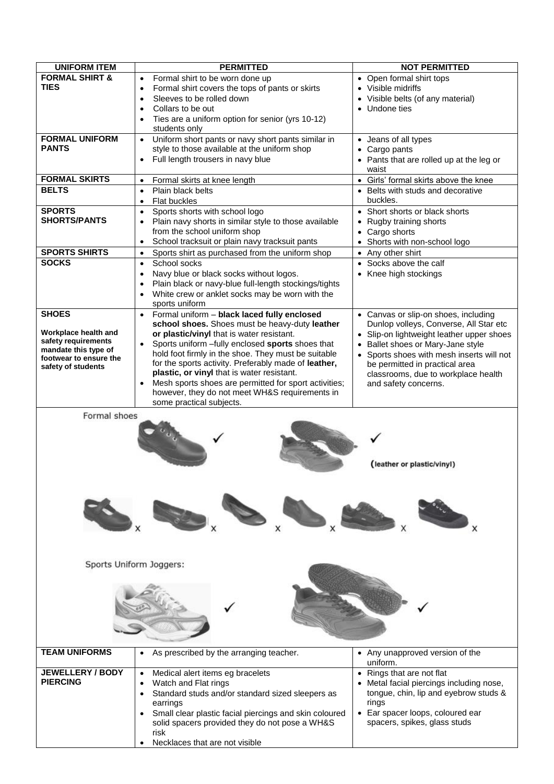| <b>UNIFORM ITEM</b>                                   | <b>PERMITTED</b>                                                                                                 | <b>NOT PERMITTED</b>                                                              |
|-------------------------------------------------------|------------------------------------------------------------------------------------------------------------------|-----------------------------------------------------------------------------------|
| <b>FORMAL SHIRT &amp;</b>                             | Formal shirt to be worn done up<br>$\bullet$                                                                     | • Open formal shirt tops                                                          |
| TIES                                                  | Formal shirt covers the tops of pants or skirts<br>$\bullet$                                                     | • Visible midriffs                                                                |
|                                                       | Sleeves to be rolled down<br>$\bullet$                                                                           | • Visible belts (of any material)                                                 |
|                                                       | Collars to be out<br>$\bullet$                                                                                   | • Undone ties                                                                     |
|                                                       | Ties are a uniform option for senior (yrs 10-12)<br>$\bullet$                                                    |                                                                                   |
|                                                       | students only                                                                                                    |                                                                                   |
| <b>FORMAL UNIFORM</b><br>PANTS                        | Uniform short pants or navy short pants similar in<br>$\bullet$<br>style to those available at the uniform shop  | • Jeans of all types                                                              |
|                                                       | Full length trousers in navy blue<br>$\bullet$                                                                   | • Cargo pants                                                                     |
|                                                       |                                                                                                                  | • Pants that are rolled up at the leg or<br>waist                                 |
| <b>FORMAL SKIRTS</b>                                  | Formal skirts at knee length<br>$\bullet$                                                                        | • Girls' formal skirts above the knee                                             |
| <b>BELTS</b>                                          | Plain black belts<br>$\bullet$                                                                                   | • Belts with studs and decorative                                                 |
|                                                       | Flat buckles<br>$\bullet$                                                                                        | buckles.                                                                          |
| <b>SPORTS</b>                                         | Sports shorts with school logo<br>$\bullet$                                                                      | • Short shorts or black shorts                                                    |
| <b>SHORTS/PANTS</b>                                   | Plain navy shorts in similar style to those available<br>$\bullet$                                               | • Rugby training shorts                                                           |
|                                                       | from the school uniform shop                                                                                     | • Cargo shorts                                                                    |
|                                                       | School tracksuit or plain navy tracksuit pants<br>$\bullet$                                                      | • Shorts with non-school logo                                                     |
| <b>SPORTS SHIRTS</b>                                  | Sports shirt as purchased from the uniform shop<br>$\bullet$                                                     | • Any other shirt                                                                 |
| <b>SOCKS</b>                                          | School socks<br>$\bullet$                                                                                        | • Socks above the calf                                                            |
|                                                       | Navy blue or black socks without logos.<br>٠                                                                     | • Knee high stockings                                                             |
|                                                       | Plain black or navy-blue full-length stockings/tights<br>٠<br>White crew or anklet socks may be worn with the    |                                                                                   |
|                                                       | $\bullet$<br>sports uniform                                                                                      |                                                                                   |
| <b>SHOES</b>                                          | Formal uniform - black laced fully enclosed<br>$\bullet$                                                         | • Canvas or slip-on shoes, including                                              |
|                                                       | school shoes. Shoes must be heavy-duty leather                                                                   | Dunlop volleys, Converse, All Star etc                                            |
| Workplace health and                                  | or plastic/vinyl that is water resistant.                                                                        | • Slip-on lightweight leather upper shoes                                         |
| safety requirements<br>mandate this type of           | Sports uniform -fully enclosed sports shoes that<br>$\bullet$                                                    | • Ballet shoes or Mary-Jane style                                                 |
| footwear to ensure the                                | hold foot firmly in the shoe. They must be suitable                                                              | • Sports shoes with mesh inserts will not                                         |
| safety of students                                    | for the sports activity. Preferably made of leather,                                                             | be permitted in practical area                                                    |
|                                                       | plastic, or vinyl that is water resistant.<br>Mesh sports shoes are permitted for sport activities;<br>$\bullet$ | classrooms, due to workplace health                                               |
|                                                       | however, they do not meet WH&S requirements in                                                                   | and safety concerns.                                                              |
|                                                       | some practical subjects.                                                                                         |                                                                                   |
| (leather or plastic/vinyl)<br>Sports Uniform Joggers: |                                                                                                                  |                                                                                   |
|                                                       |                                                                                                                  |                                                                                   |
|                                                       |                                                                                                                  |                                                                                   |
|                                                       |                                                                                                                  |                                                                                   |
| <b>TEAM UNIFORMS</b>                                  | As prescribed by the arranging teacher.<br>$\bullet$                                                             | • Any unapproved version of the<br>uniform.                                       |
| <b>JEWELLERY / BODY</b><br><b>PIERCING</b>            | Medical alert items eg bracelets<br>$\bullet$                                                                    | • Rings that are not flat                                                         |
|                                                       | Watch and Flat rings<br>$\bullet$<br>Standard studs and/or standard sized sleepers as                            | • Metal facial piercings including nose,<br>tongue, chin, lip and eyebrow studs & |
|                                                       | $\bullet$<br>earrings                                                                                            | rings                                                                             |
|                                                       | Small clear plastic facial piercings and skin coloured<br>$\bullet$                                              | • Ear spacer loops, coloured ear                                                  |
|                                                       | solid spacers provided they do not pose a WH&S                                                                   | spacers, spikes, glass studs                                                      |
|                                                       | risk                                                                                                             |                                                                                   |
|                                                       | Necklaces that are not visible                                                                                   |                                                                                   |